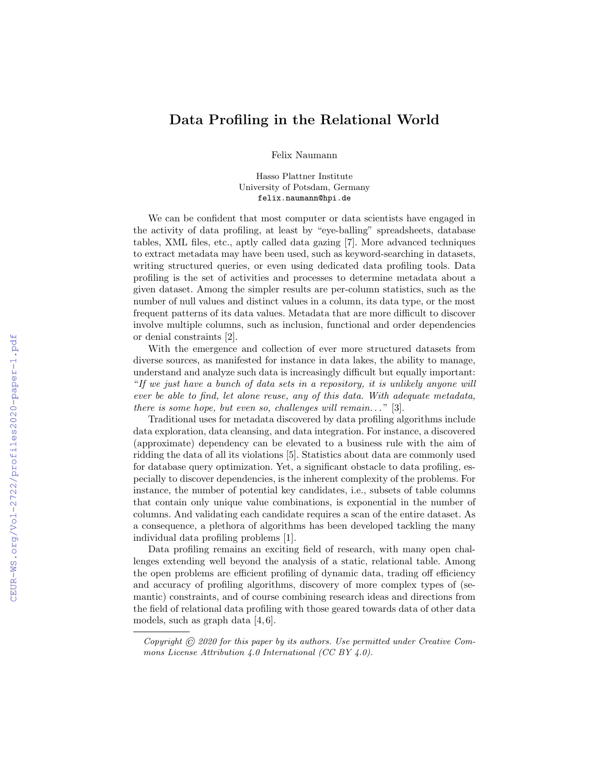## Data Profiling in the Relational World

Felix Naumann

Hasso Plattner Institute University of Potsdam, Germany felix.naumann@hpi.de

We can be confident that most computer or data scientists have engaged in the activity of data profiling, at least by "eye-balling" spreadsheets, database tables, XML files, etc., aptly called data gazing [7]. More advanced techniques to extract metadata may have been used, such as keyword-searching in datasets, writing structured queries, or even using dedicated data profiling tools. Data profiling is the set of activities and processes to determine metadata about a given dataset. Among the simpler results are per-column statistics, such as the number of null values and distinct values in a column, its data type, or the most frequent patterns of its data values. Metadata that are more difficult to discover involve multiple columns, such as inclusion, functional and order dependencies or denial constraints [2].

With the emergence and collection of ever more structured datasets from diverse sources, as manifested for instance in data lakes, the ability to manage, understand and analyze such data is increasingly difficult but equally important: "If we just have a bunch of data sets in a repository, it is unlikely anyone will ever be able to find, let alone reuse, any of this data. With adequate metadata, there is some hope, but even so, challenges will remain..." [3].

Traditional uses for metadata discovered by data profiling algorithms include data exploration, data cleansing, and data integration. For instance, a discovered (approximate) dependency can be elevated to a business rule with the aim of ridding the data of all its violations [5]. Statistics about data are commonly used for database query optimization. Yet, a significant obstacle to data profiling, especially to discover dependencies, is the inherent complexity of the problems. For instance, the number of potential key candidates, i.e., subsets of table columns that contain only unique value combinations, is exponential in the number of columns. And validating each candidate requires a scan of the entire dataset. As a consequence, a plethora of algorithms has been developed tackling the many individual data profiling problems [1].

Data profiling remains an exciting field of research, with many open challenges extending well beyond the analysis of a static, relational table. Among the open problems are efficient profiling of dynamic data, trading off efficiency and accuracy of profiling algorithms, discovery of more complex types of (semantic) constraints, and of course combining research ideas and directions from the field of relational data profiling with those geared towards data of other data models, such as graph data [4, 6].

Copyright  $\widehat{C}$  2020 for this paper by its authors. Use permitted under Creative Commons License Attribution 4.0 International (CC BY 4.0).